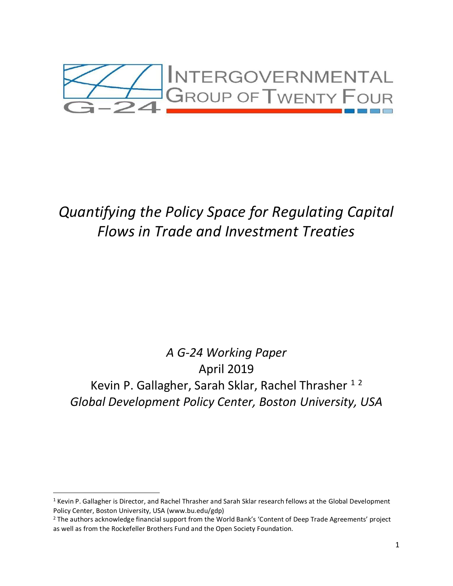

# *Quantifying the Policy Space for Regulating Capital Flows in Trade and Investment Treaties*

# *A G-24 Working Paper* April 2019 Kevin P. Gallagher, Sarah Sklar, Rachel Thrasher<sup>12</sup> *Global Development Policy Center, Boston University, USA*

 $1$  Kevin P. Gallagher is Director, and Rachel Thrasher and Sarah Sklar research fellows at the Global Development Policy Center, Boston University, USA (www.bu.edu/gdp)

<sup>&</sup>lt;sup>2</sup> The authors acknowledge financial support from the World Bank's 'Content of Deep Trade Agreements' project as well as from the Rockefeller Brothers Fund and the Open Society Foundation.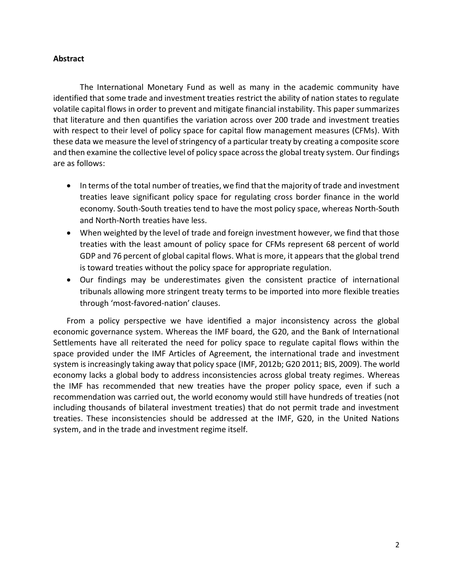# **Abstract**

The International Monetary Fund as well as many in the academic community have identified that some trade and investment treaties restrict the ability of nation states to regulate volatile capital flows in order to prevent and mitigate financial instability. This paper summarizes that literature and then quantifies the variation across over 200 trade and investment treaties with respect to their level of policy space for capital flow management measures (CFMs). With these data we measure the level of stringency of a particular treaty by creating a composite score and then examine the collective level of policy space across the global treaty system. Our findings are as follows:

- In terms of the total number of treaties, we find that the majority of trade and investment treaties leave significant policy space for regulating cross border finance in the world economy. South-South treaties tend to have the most policy space, whereas North-South and North-North treaties have less.
- When weighted by the level of trade and foreign investment however, we find that those treaties with the least amount of policy space for CFMs represent 68 percent of world GDP and 76 percent of global capital flows. What is more, it appears that the global trend is toward treaties without the policy space for appropriate regulation.
- Our findings may be underestimates given the consistent practice of international tribunals allowing more stringent treaty terms to be imported into more flexible treaties through 'most-favored-nation' clauses.

From a policy perspective we have identified a major inconsistency across the global economic governance system. Whereas the IMF board, the G20, and the Bank of International Settlements have all reiterated the need for policy space to regulate capital flows within the space provided under the IMF Articles of Agreement, the international trade and investment system is increasingly taking away that policy space (IMF, 2012b; G20 2011; BIS, 2009). The world economy lacks a global body to address inconsistencies across global treaty regimes. Whereas the IMF has recommended that new treaties have the proper policy space, even if such a recommendation was carried out, the world economy would still have hundreds of treaties (not including thousands of bilateral investment treaties) that do not permit trade and investment treaties. These inconsistencies should be addressed at the IMF, G20, in the United Nations system, and in the trade and investment regime itself.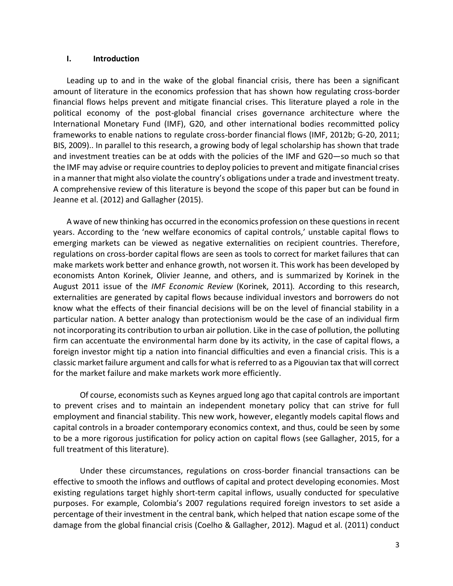#### **I. Introduction**

Leading up to and in the wake of the global financial crisis, there has been a significant amount of literature in the economics profession that has shown how regulating cross-border financial flows helps prevent and mitigate financial crises. This literature played a role in the political economy of the post-global financial crises governance architecture where the International Monetary Fund (IMF), G20, and other international bodies recommitted policy frameworks to enable nations to regulate cross-border financial flows (IMF, 2012b; G-20, 2011; BIS, 2009).. In parallel to this research, a growing body of legal scholarship has shown that trade and investment treaties can be at odds with the policies of the IMF and G20—so much so that the IMF may advise or require countries to deploy policies to prevent and mitigate financial crises in a manner that might also violate the country's obligations under a trade and investment treaty. A comprehensive review of this literature is beyond the scope of this paper but can be found in Jeanne et al. (2012) and Gallagher (2015).

A wave of new thinking has occurred in the economics profession on these questions in recent years. According to the 'new welfare economics of capital controls,' unstable capital flows to [emerging markets](http://blogs.ft.com/beyond-brics/) can be viewed as negative externalities on recipient countries. Therefore, regulations on cross-border capital flows are seen as tools to correct for market failures that can make markets work better and enhance growth, not worsen it. This work has been developed by economists Anton Korinek, Olivier Jeanne, and others, and is summarized by Korinek in the August 2011 issue of the *[IMF Economic Review](http://www.palgrave-journals.com/imfer/journal/v59/n3/index.html)* (Korinek, 2011)*.* According to this research, externalities are generated by capital flows because individual investors and borrowers do not know what the effects of their financial decisions will be on the level of financial stability in a particular nation. A better analogy than protectionism would be the case of an individual firm not incorporating its contribution to urban air pollution. Like in the case of pollution, the polluting firm can accentuate the environmental harm done by its activity, in the case of capital flows, a foreign investor might tip a nation into financial difficulties and even a financial crisis. This is a classic market failure argument and calls for what is referred to as a Pigouvian tax that will correct for the market failure and make markets work more efficiently.

Of course, economists such as [Keynes argued long ago](http://www.jstor.org/stable/2724749) that capital controls are important to prevent crises and to maintain an independent monetary policy that can strive for full employment and financial stability. This new work, however, elegantly models capital flows and capital controls in a broader contemporary economics context, and thus, could be seen by some to be a more rigorous justification for policy action on capital flows (see Gallagher, 2015, for a full treatment of this literature).

Under these circumstances, regulations on cross-border financial transactions can be effective to smooth the inflows and outflows of capital and protect developing economies. Most existing regulations target highly short-term capital inflows, usually conducted for speculative purposes. For example, Colombia's 2007 regulations required foreign investors to set aside a percentage of their investment in the central bank, which helped that nation escape some of the damage from the global financial crisis (Coelho & Gallagher, 2012). Magud et al. (2011) conduct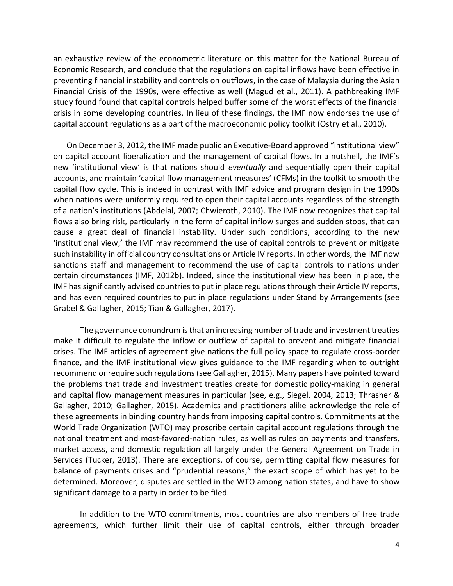an exhaustive review of the econometric literature on this matter for the National Bureau of Economic Research, and conclude that the regulations on capital inflows have been effective in preventing financial instability and controls on outflows, in the case of Malaysia during the Asian Financial Crisis of the 1990s, were effective as well (Magud et al., 2011). A pathbreaking IMF study found found that capital controls helped buffer some of the worst effects of the financial crisis in some developing countries. In lieu of these findings, the IMF now endorses the use of capital account regulations as a part of the macroeconomic policy toolkit (Ostry et al., 2010).

On December 3, 2012, the IMF made public an Executive-Board approved "institutional view" on capital account liberalization and the management of capital flows. In a nutshell, the IMF's new '[institutional view](http://www.imf.org/external/pp/longres.aspx?id=4720)' is that nations should *eventually* and sequentially open their capital accounts, and maintain 'capital flow management measures' (CFMs) in the toolkit to smooth the capital flow cycle. This is indeed in contrast with IMF advice and program design in the 1990s when nations were uniformly required to open their capital accounts regardless of the strength of a nation's institutions (Abdelal, 2007; Chwieroth, 2010). The IMF now recognizes that capital flows also bring risk, particularly in the form of capital inflow surges and sudden stops, that can cause a great deal of financial instability. Under such conditions, according to the new 'institutional view,' the IMF may recommend the use of capital controls to prevent or mitigate such instability in official country consultations or Article IV reports. In other words, the IMF now sanctions staff and management to recommend the use of capital controls to nations under certain circumstances (IMF, 2012b). Indeed, since the institutional view has been in place, the IMF has significantly advised countries to put in place regulations through their Article IV reports, and has even required countries to put in place regulations under Stand by Arrangements (see Grabel & Gallagher, 2015; Tian & Gallagher, 2017).

The governance conundrum is that an increasing number of trade and investment treaties make it difficult to regulate the inflow or outflow of capital to prevent and mitigate financial crises. The IMF articles of agreement give nations the full policy space to regulate cross-border finance, and the IMF institutional view gives guidance to the IMF regarding when to outright recommend or require such regulations (see Gallagher, 2015). Many papers have pointed toward the problems that trade and investment treaties create for domestic policy-making in general and capital flow management measures in particular (see, e.g., Siegel, 2004, 2013; Thrasher & Gallagher, 2010; Gallagher, 2015). Academics and practitioners alike acknowledge the role of these agreements in binding country hands from imposing capital controls. Commitments at the World Trade Organization (WTO) may proscribe certain capital account regulations through the national treatment and most-favored-nation rules, as well as rules on payments and transfers, market access, and domestic regulation all largely under the General Agreement on Trade in Services (Tucker, 2013). There are exceptions, of course, permitting capital flow measures for balance of payments crises and "prudential reasons," the exact scope of which has yet to be determined. Moreover, disputes are settled in the WTO among nation states, and have to show significant damage to a party in order to be filed.

In addition to the WTO commitments, most countries are also members of free trade agreements, which further limit their use of capital controls, either through broader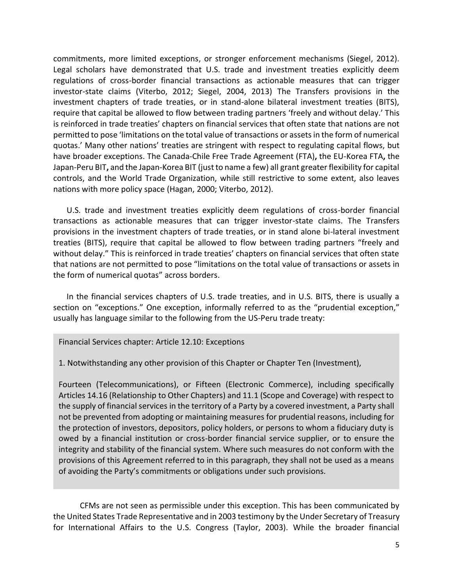commitments, more limited exceptions, or stronger enforcement mechanisms (Siegel, 2012). Legal scholars have demonstrated that U.S. trade and investment treaties explicitly deem regulations of cross-border financial transactions as actionable measures that can trigger investor-state claims (Viterbo, 2012; Siegel, 2004, 2013) The Transfers provisions in the investment chapters of trade treaties, or in stand-alone bilateral investment treaties (BITS), require that capital be allowed to flow between trading partners 'freely and without delay.' This is reinforced in trade treaties' chapters on financial services that often state that nations are not permitted to pose 'limitations on the total value of transactions or assets in the form of numerical quotas.' Many other nations' treaties are stringent with respect to regulating capital flows, but have broader exceptions. The [Canada-Chile Free Trade Agreement \(FTA\)](http://www.international.gc.ca/trade-agreements-accords-commerciaux/agr-acc/chile-chili/chap-g26.aspx?lang=en#I)**,** the [EU-Korea FTA](http://trade.ec.europa.eu/doclib/docs/2009/october/tradoc_145177.pdf)**,** the [Japan-Peru BIT](http://www.unctad.org/sections/dite/iia/docs/bits/japan_peru.pdf)**,** and the [Japan-Korea BIT](http://www.unctad.org/sections/dite/iia/docs/bits/korea_japan.pdf) (just to name a few) all grant greater flexibility for capital controls, and the World Trade Organization, while still restrictive to some extent, also leaves nations with more policy space (Hagan, 2000; Viterbo, 2012).

U.S. trade and investment treaties explicitly deem regulations of cross-border financial transactions as actionable measures that can trigger investor-state claims. The Transfers provisions in the investment chapters of trade treaties, or in stand alone bi-lateral investment treaties (BITS), require that capital be allowed to flow between trading partners "freely and without delay." This is reinforced in trade treaties' chapters on financial services that often state that nations are not permitted to pose "limitations on the total value of transactions or assets in the form of numerical quotas" across borders.

In the financial services chapters of U.S. trade treaties, and in U.S. BITS, there is usually a section on "exceptions." One exception, informally referred to as the "prudential exception," usually has language similar to the following from the US-Peru trade treaty:

Financial Services chapter: Article 12.10: Exceptions

1. Notwithstanding any other provision of this Chapter or Chapter Ten (Investment),

Fourteen (Telecommunications), or Fifteen (Electronic Commerce), including specifically Articles 14.16 (Relationship to Other Chapters) and 11.1 (Scope and Coverage) with respect to the supply of financial services in the territory of a Party by a covered investment, a Party shall not be prevented from adopting or maintaining measures for prudential reasons, including for the protection of investors, depositors, policy holders, or persons to whom a fiduciary duty is owed by a financial institution or cross-border financial service supplier, or to ensure the integrity and stability of the financial system. Where such measures do not conform with the provisions of this Agreement referred to in this paragraph, they shall not be used as a means of avoiding the Party's commitments or obligations under such provisions*.*

CFMs are [not seen](http://worldtradelaw.typepad.com/ielpblog/2011/01/applicability-of-the-nafta-prudential-carveout-to-capital-controls.html) as permissible under this exception. This has been communicated by the United States Trade Representative and in 200[3 testimony](http://www.stanford.edu/~johntayl/taylorspeeches/Financial%20Services%20and%20Capital%20Transfer%20Provisions%20%281%20Apr%2003%29.doc) by the Under Secretary of Treasury for International Affairs to the U.S. Congress (Taylor, 2003). While the broader financial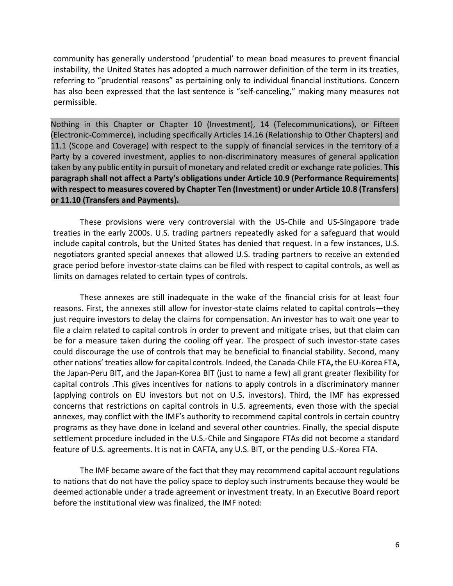community has generally understood 'prudential' to mean boad measures to prevent financial instability, the United States has adopted a much narrower definition of the term in its treaties, referring to "prudential reasons" as pertaining only to individual financial institutions. [Concern](http://waysandmeans.house.gov/Hearings/Testimony.aspx?TID=2163) has also been expressed that the last sentence is "self-canceling," making many measures not permissible.

Nothing in this Chapter or Chapter 10 (Investment), 14 (Telecommunications), or Fifteen (Electronic-Commerce), including specifically Articles 14.16 (Relationship to Other Chapters) and 11.1 (Scope and Coverage) with respect to the supply of financial services in the territory of a Party by a covered investment, applies to non-discriminatory measures of general application taken by any public entity in pursuit of monetary and related credit or exchange rate policies. **This paragraph shall not affect a Party's obligations under Article 10.9 (Performance Requirements) with respect to measures covered by Chapter Ten (Investment) or under Article 10.8 (Transfers) or 11.10 (Transfers and Payments).**

These provisions were very controversial with the US-Chile and US-Singapore trade treaties in the early 2000s. U.S. trading partners [repeatedly asked](http://www.oup.com/us/catalog/general/subject/Law/PublicInternationalLaw/GeneralPublicInternationalLaw/?view=usa&ci=9780195371376) for a safeguard that would include capital controls, but the United States has denied that request. In a few instances, U.S. negotiators granted special annexes that allowed U.S. trading partners to receive an extended grace period before investor-state claims can be filed with respect to capital controls, as well as limits on damages related to certain types of controls.

These annexes are still inadequate in the wake of the financial crisis for at least four reasons. First, the annexes still allow for investor-state claims related to capital controls—they just require investors to delay the claims for compensation. An investor has to wait one year to file a claim related to capital controls in order to prevent and mitigate crises, but that claim can be for a measure taken during the cooling off year. The prospect of such investor-state cases could discourage the use of controls that may be beneficial to financial stability. Second, many other nations' treaties allow for capital controls. Indeed, th[e Canada-Chile FTA](http://www.international.gc.ca/trade-agreements-accords-commerciaux/agr-acc/chile-chili/chap-g26.aspx?lang=en#I)**,** the [EU-Korea FTA](http://trade.ec.europa.eu/doclib/docs/2009/october/tradoc_145177.pdf)**,**  the [Japan-Peru BIT](http://www.unctad.org/sections/dite/iia/docs/bits/japan_peru.pdf)**,** and the [Japan-Korea BIT](http://www.unctad.org/sections/dite/iia/docs/bits/korea_japan.pdf) (just to name a few) all grant greater flexibility for capital controls .This gives incentives for nations to apply controls in a discriminatory manner (applying controls on EU investors but not on U.S. investors). Third, the IMF has expressed concerns that restrictions on capital controls in U.S. agreements, even those with the special annexes, may conflict with the IMF's authority to recommend capital controls in certain country programs as they have done in Iceland and several other countries. Finally, the special dispute settlement procedure included in the U.S.-Chile and Singapore FTAs did not become a standard feature of U.S. agreements. It is not in CAFTA, any U.S. BIT, or the pending U.S.-Korea FTA.

The IMF became aware of the fact that they may recommend capital account regulations to nations that do not have the policy space to deploy such instruments because they would be deemed actionable under a trade agreement or investment treaty. In an Executive Board report before the institutional view was finalized, the IMF noted: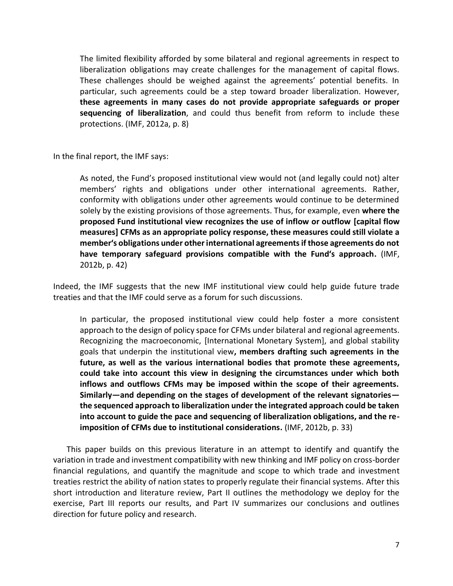The limited flexibility afforded by some bilateral and regional agreements in respect to liberalization obligations may create challenges for the management of capital flows. These challenges should be weighed against the agreements' potential benefits. In particular, such agreements could be a step toward broader liberalization. However, **these agreements in many cases do not provide appropriate safeguards or proper sequencing of liberalization**, and could thus benefit from reform to include these protections. (IMF, 2012a, p. 8)

In the final report, the IMF says:

As noted, the Fund's proposed institutional view would not (and legally could not) alter members' rights and obligations under other international agreements. Rather, conformity with obligations under other agreements would continue to be determined solely by the existing provisions of those agreements. Thus, for example, even **where the proposed Fund institutional view recognizes the use of inflow or outflow [capital flow measures] CFMs as an appropriate policy response, these measures could still violate a member's obligations under other international agreements if those agreements do not have temporary safeguard provisions compatible with the Fund's approach.** (IMF, 2012b, p. 42)

Indeed, the IMF suggests that the new IMF institutional view could help guide future trade treaties and that the IMF could serve as a forum for such discussions.

In particular, the proposed institutional view could help foster a more consistent approach to the design of policy space for CFMs under bilateral and regional agreements. Recognizing the macroeconomic, [International Monetary System], and global stability goals that underpin the institutional view**, members drafting such agreements in the future, as well as the various international bodies that promote these agreements, could take into account this view in designing the circumstances under which both inflows and outflows CFMs may be imposed within the scope of their agreements. Similarly—and depending on the stages of development of the relevant signatories the sequenced approach to liberalization under the integrated approach could be taken into account to guide the pace and sequencing of liberalization obligations, and the reimposition of CFMs due to institutional considerations.** (IMF, 2012b, p. 33)

This paper builds on this previous literature in an attempt to identify and quantify the variation in trade and investment compatibility with new thinking and IMF policy on cross-border financial regulations, and quantify the magnitude and scope to which trade and investment treaties restrict the ability of nation states to properly regulate their financial systems. After this short introduction and literature review, Part II outlines the methodology we deploy for the exercise, Part III reports our results, and Part IV summarizes our conclusions and outlines direction for future policy and research.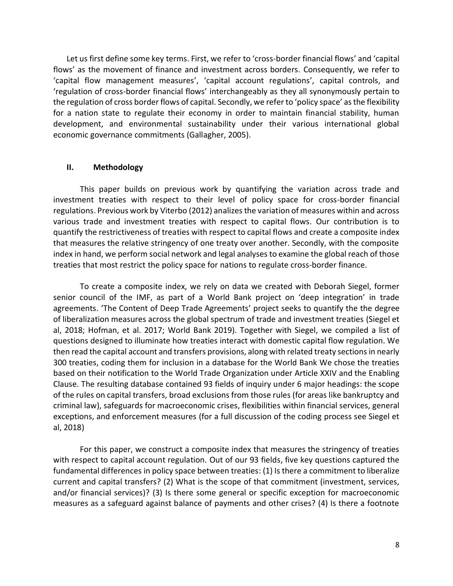Let us first define some key terms. First, we refer to 'cross-border financial flows' and 'capital flows' as the movement of finance and investment across borders. Consequently, we refer to 'capital flow management measures', 'capital account regulations', capital controls, and 'regulation of cross-border financial flows' interchangeably as they all synonymously pertain to the regulation of cross border flows of capital. Secondly, we refer to 'policy space' as the flexibility for a nation state to regulate their economy in order to maintain financial stability, human development, and environmental sustainability under their various international global economic governance commitments (Gallagher, 2005).

#### **II. Methodology**

This paper builds on previous work by quantifying the variation across trade and investment treaties with respect to their level of policy space for cross-border financial regulations. Previous work by Viterbo (2012) analizes the variation of measures within and across various trade and investment treaties with respect to capital flows. Our contribution is to quantify the restrictiveness of treaties with respect to capital flows and create a composite index that measures the relative stringency of one treaty over another. Secondly, with the composite index in hand, we perform social network and legal analyses to examine the global reach of those treaties that most restrict the policy space for nations to regulate cross-border finance.

To create a composite index, we rely on data we created with Deborah Siegel, former senior council of the IMF, as part of a World Bank project on 'deep integration' in trade agreements. 'The Content of Deep Trade Agreements' project seeks to quantify the the degree of liberalization measures across the global spectrum of trade and investment treaties (Siegel et al, 2018; Hofman, et al. 2017; World Bank 2019). Together with Siegel, we compiled a list of questions designed to illuminate how treaties interact with domestic capital flow regulation. We then read the capital account and transfers provisions, along with related treaty sections in nearly 300 treaties, coding them for inclusion in a database for the World Bank We chose the treaties based on their notification to the World Trade Organization under Article XXIV and the Enabling Clause. The resulting database contained 93 fields of inquiry under 6 major headings: the scope of the rules on capital transfers, broad exclusions from those rules (for areas like bankruptcy and criminal law), safeguards for macroeconomic crises, flexibilities within financial services, general exceptions, and enforcement measures (for a full discussion of the coding process see Siegel et al, 2018)

For this paper, we construct a composite index that measures the stringency of treaties with respect to capital account regulation. Out of our 93 fields, five key questions captured the fundamental differences in policy space between treaties: (1) Is there a commitment to liberalize current and capital transfers? (2) What is the scope of that commitment (investment, services, and/or financial services)? (3) Is there some general or specific exception for macroeconomic measures as a safeguard against balance of payments and other crises? (4) Is there a footnote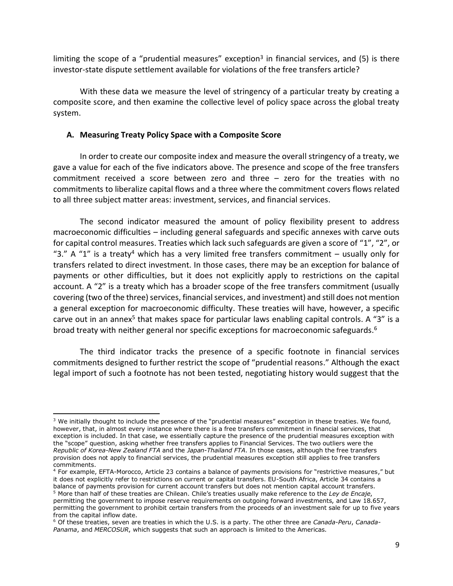limiting the scope of a "prudential measures" exception<sup>3</sup> in financial services, and (5) is there investor-state dispute settlement available for violations of the free transfers article?

With these data we measure the level of stringency of a particular treaty by creating a composite score, and then examine the collective level of policy space across the global treaty system.

### **A. Measuring Treaty Policy Space with a Composite Score**

 $\overline{a}$ 

In order to create our composite index and measure the overall stringency of a treaty, we gave a value for each of the five indicators above. The presence and scope of the free transfers commitment received a score between zero and three – zero for the treaties with no commitments to liberalize capital flows and a three where the commitment covers flows related to all three subject matter areas: investment, services, and financial services.

The second indicator measured the amount of policy flexibility present to address macroeconomic difficulties – including general safeguards and specific annexes with carve outs for capital control measures. Treaties which lack such safeguards are given a score of "1", "2", or "3." A "1" is a treaty<sup>4</sup> which has a very limited free transfers commitment – usually only for transfers related to direct investment. In those cases, there may be an exception for balance of payments or other difficulties, but it does not explicitly apply to restrictions on the capital account. A "2" is a treaty which has a broader scope of the free transfers commitment (usually covering (two of the three) services, financial services, and investment) and still does not mention a general exception for macroeconomic difficulty. These treaties will have, however, a specific carve out in an annex<sup>5</sup> that makes space for particular laws enabling capital controls. A "3" is a broad treaty with neither general nor specific exceptions for macroeconomic safeguards.<sup>6</sup>

The third indicator tracks the presence of a specific footnote in financial services commitments designed to further restrict the scope of "prudential reasons." Although the exact legal import of such a footnote has not been tested, negotiating history would suggest that the

<sup>&</sup>lt;sup>3</sup> We initially thought to include the presence of the "prudential measures" exception in these treaties. We found, however, that, in almost every instance where there is a free transfers commitment in financial services, that exception is included. In that case, we essentially capture the presence of the prudential measures exception with the "scope" question, asking whether free transfers applies to Financial Services. The two outliers were the *Republic of Korea-New Zealand FTA* and the *Japan-Thailand FTA*. In those cases, although the free transfers provision does not apply to financial services, the prudential measures exception still applies to free transfers commitments.

<sup>4</sup> For example, EFTA-Morocco, Article 23 contains a balance of payments provisions for "restrictive measures," but it does not explicitly refer to restrictions on current or capital transfers. EU-South Africa, Article 34 contains a balance of payments provision for current account transfers but does not mention capital account transfers. <sup>5</sup> More than half of these treaties are Chilean. Chile's treaties usually make reference to the *Ley de Encaje*,

permitting the government to impose reserve requirements on outgoing forward investments, and Law 18.657, permitting the government to prohibit certain transfers from the proceeds of an investment sale for up to five years from the capital inflow date.

<sup>6</sup> Of these treaties, seven are treaties in which the U.S. is a party. The other three are *Canada-Peru*, *Canada-Panama*, and *MERCOSUR*, which suggests that such an approach is limited to the Americas.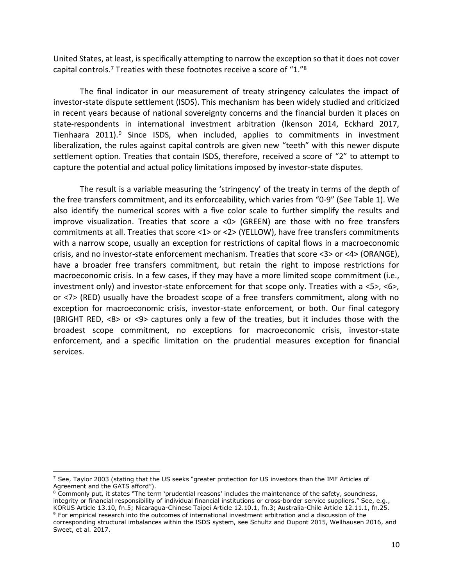United States, at least, is specifically attempting to narrow the exception so that it does not cover capital controls.<sup>7</sup> Treaties with these footnotes receive a score of "1."<sup>8</sup>

The final indicator in our measurement of treaty stringency calculates the impact of investor-state dispute settlement (ISDS). This mechanism has been widely studied and criticized in recent years because of national sovereignty concerns and the financial burden it places on state-respondents in international investment arbitration (Ikenson 2014, Eckhard 2017, Tienhaara 2011).<sup>9</sup> Since ISDS, when included, applies to commitments in investment liberalization, the rules against capital controls are given new "teeth" with this newer dispute settlement option. Treaties that contain ISDS, therefore, received a score of "2" to attempt to capture the potential and actual policy limitations imposed by investor-state disputes.

The result is a variable measuring the 'stringency' of the treaty in terms of the depth of the free transfers commitment, and its enforceability, which varies from "0-9" (See Table 1). We also identify the numerical scores with a five color scale to further simplify the results and improve visualization. Treaties that score a <0> (GREEN) are those with no free transfers commitments at all. Treaties that score <1> or <2> (YELLOW), have free transfers commitments with a narrow scope, usually an exception for restrictions of capital flows in a macroeconomic crisis, and no investor-state enforcement mechanism. Treaties that score <3> or <4> (ORANGE), have a broader free transfers commitment, but retain the right to impose restrictions for macroeconomic crisis. In a few cases, if they may have a more limited scope commitment (i.e., investment only) and investor-state enforcement for that scope only. Treaties with a <5>, <6>, or <7> (RED) usually have the broadest scope of a free transfers commitment, along with no exception for macroeconomic crisis, investor-state enforcement, or both. Our final category (BRIGHT RED, <8> or <9> captures only a few of the treaties, but it includes those with the broadest scope commitment, no exceptions for macroeconomic crisis, investor-state enforcement, and a specific limitation on the prudential measures exception for financial services.

 $<sup>7</sup>$  See, Taylor 2003 (stating that the US seeks "greater protection for US investors than the IMF Articles of</sup> Agreement and the GATS afford").

<sup>&</sup>lt;sup>8</sup> Commonly put, it states "The term 'prudential reasons' includes the maintenance of the safety, soundness, integrity or financial responsibility of individual financial institutions or cross-border service suppliers." See, e.g., KORUS Article 13.10, fn.5; Nicaragua-Chinese Taipei Article 12.10.1, fn.3; Australia-Chile Article 12.11.1, fn.25. <sup>9</sup> For empirical research into the outcomes of international investment arbitration and a discussion of the

corresponding structural imbalances within the ISDS system, see Schultz and Dupont 2015, Wellhausen 2016, and Sweet, et al. 2017.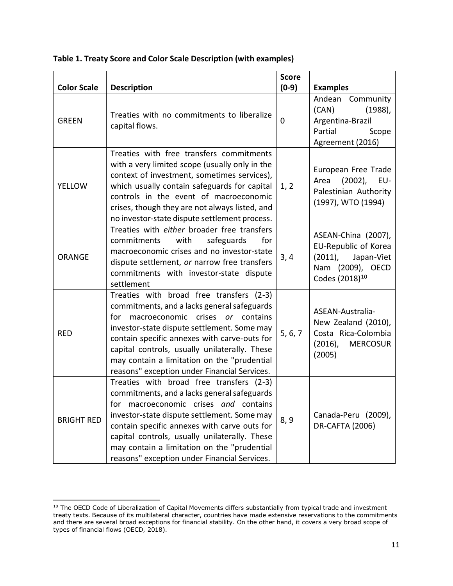| <b>Color Scale</b> | <b>Description</b>                                                                                                                                                                                                                                                                                                                                                                | <b>Score</b><br>$(0-9)$ | <b>Examples</b>                                                                                                           |
|--------------------|-----------------------------------------------------------------------------------------------------------------------------------------------------------------------------------------------------------------------------------------------------------------------------------------------------------------------------------------------------------------------------------|-------------------------|---------------------------------------------------------------------------------------------------------------------------|
| <b>GREEN</b>       | Treaties with no commitments to liberalize<br>capital flows.                                                                                                                                                                                                                                                                                                                      | 0                       | Andean<br>Community<br>(CAN)<br>$(1988)$ ,<br>Argentina-Brazil<br>Partial<br>Scope<br>Agreement (2016)                    |
| <b>YELLOW</b>      | Treaties with free transfers commitments<br>with a very limited scope (usually only in the<br>context of investment, sometimes services),<br>which usually contain safeguards for capital<br>controls in the event of macroeconomic<br>crises, though they are not always listed, and<br>no investor-state dispute settlement process.                                            | 1, 2                    | European Free Trade<br>Area<br>$(2002)$ ,<br>EU-<br>Palestinian Authority<br>(1997), WTO (1994)                           |
| <b>ORANGE</b>      | Treaties with either broader free transfers<br>safeguards<br>for<br>commitments<br>with<br>macroeconomic crises and no investor-state<br>dispute settlement, or narrow free transfers<br>commitments with investor-state dispute<br>settlement                                                                                                                                    | 3,4                     | ASEAN-China (2007),<br>EU-Republic of Korea<br>$(2011)$ ,<br>Japan-Viet<br>Nam (2009), OECD<br>Codes (2018) <sup>10</sup> |
| <b>RED</b>         | Treaties with broad free transfers (2-3)<br>commitments, and a lacks general safeguards<br>macroeconomic crises or contains<br>for<br>investor-state dispute settlement. Some may<br>contain specific annexes with carve-outs for<br>capital controls, usually unilaterally. These<br>may contain a limitation on the "prudential<br>reasons" exception under Financial Services. | 5, 6, 7                 | ASEAN-Australia-<br>New Zealand (2010),<br>Costa Rica-Colombia<br>$(2016)$ ,<br><b>MERCOSUR</b><br>(2005)                 |
| <b>BRIGHT RED</b>  | Treaties with broad free transfers (2-3)<br>commitments, and a lacks general safeguards<br>for macroeconomic crises and contains<br>investor-state dispute settlement. Some may<br>contain specific annexes with carve outs for<br>capital controls, usually unilaterally. These<br>may contain a limitation on the "prudential<br>reasons" exception under Financial Services.   | 8, 9                    | Canada-Peru (2009),<br><b>DR-CAFTA (2006)</b>                                                                             |

**Table 1. Treaty Score and Color Scale Description (with examples)**

 $^{10}$  The OECD Code of Liberalization of Capital Movements differs substantially from typical trade and investment treaty texts. Because of its multilateral character, countries have made extensive reservations to the commitments and there are several broad exceptions for financial stability. On the other hand, it covers a very broad scope of types of financial flows (OECD, 2018).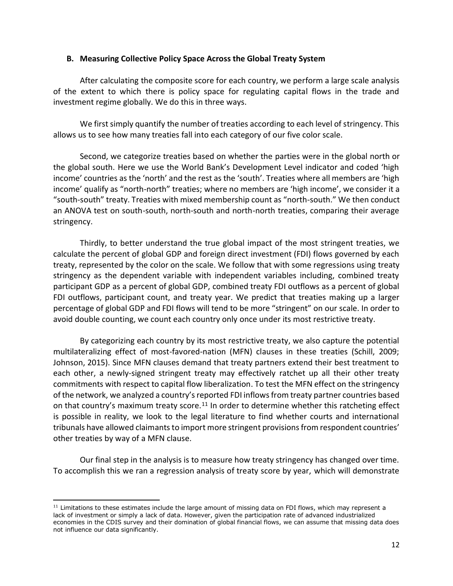#### **B. Measuring Collective Policy Space Across the Global Treaty System**

After calculating the composite score for each country, we perform a large scale analysis of the extent to which there is policy space for regulating capital flows in the trade and investment regime globally. We do this in three ways.

We first simply quantify the number of treaties according to each level of stringency. This allows us to see how many treaties fall into each category of our five color scale.

Second, we categorize treaties based on whether the parties were in the global north or the global south. Here we use the World Bank's Development Level indicator and coded 'high income' countries as the 'north' and the rest as the 'south'. Treaties where all members are 'high income' qualify as "north-north" treaties; where no members are 'high income', we consider it a "south-south" treaty. Treaties with mixed membership count as "north-south." We then conduct an ANOVA test on south-south, north-south and north-north treaties, comparing their average stringency.

Thirdly, to better understand the true global impact of the most stringent treaties, we calculate the percent of global GDP and foreign direct investment (FDI) flows governed by each treaty, represented by the color on the scale. We follow that with some regressions using treaty stringency as the dependent variable with independent variables including, combined treaty participant GDP as a percent of global GDP, combined treaty FDI outflows as a percent of global FDI outflows, participant count, and treaty year. We predict that treaties making up a larger percentage of global GDP and FDI flows will tend to be more "stringent" on our scale. In order to avoid double counting, we count each country only once under its most restrictive treaty.

By categorizing each country by its most restrictive treaty, we also capture the potential multilateralizing effect of most-favored-nation (MFN) clauses in these treaties (Schill, 2009; Johnson, 2015). Since MFN clauses demand that treaty partners extend their best treatment to each other, a newly-signed stringent treaty may effectively ratchet up all their other treaty commitments with respect to capital flow liberalization. To test the MFN effect on the stringency of the network, we analyzed a country's reported FDI inflows from treaty partner countries based on that country's maximum treaty score.<sup>11</sup> In order to determine whether this ratcheting effect is possible in reality, we look to the legal literature to find whether courts and international tribunals have allowed claimants to import more stringent provisions from respondent countries' other treaties by way of a MFN clause.

Our final step in the analysis is to measure how treaty stringency has changed over time. To accomplish this we ran a regression analysis of treaty score by year, which will demonstrate

<sup>&</sup>lt;sup>11</sup> Limitations to these estimates include the large amount of missing data on FDI flows, which may represent a lack of investment or simply a lack of data. However, given the participation rate of advanced industrialized economies in the CDIS survey and their domination of global financial flows, we can assume that missing data does not influence our data significantly.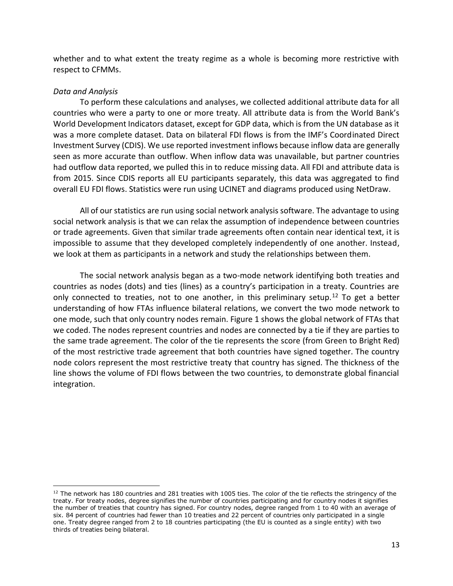whether and to what extent the treaty regime as a whole is becoming more restrictive with respect to CFMMs.

#### *Data and Analysis*

To perform these calculations and analyses, we collected additional attribute data for all countries who were a party to one or more treaty. All attribute data is from the World Bank's World Development Indicators dataset, except for GDP data, which is from the UN database as it was a more complete dataset. Data on bilateral FDI flows is from the IMF's Coordinated Direct Investment Survey (CDIS). We use reported investment inflows because inflow data are generally seen as more accurate than outflow. When inflow data was unavailable, but partner countries had outflow data reported, we pulled this in to reduce missing data. All FDI and attribute data is from 2015. Since CDIS reports all EU participants separately, this data was aggregated to find overall EU FDI flows. Statistics were run using UCINET and diagrams produced using NetDraw.

All of our statistics are run using social network analysis software. The advantage to using social network analysis is that we can relax the assumption of independence between countries or trade agreements. Given that similar trade agreements often contain near identical text, it is impossible to assume that they developed completely independently of one another. Instead, we look at them as participants in a network and study the relationships between them.

The social network analysis began as a two-mode network identifying both treaties and countries as nodes (dots) and ties (lines) as a country's participation in a treaty. Countries are only connected to treaties, not to one another, in this preliminary setup.<sup>12</sup> To get a better understanding of how FTAs influence bilateral relations, we convert the two mode network to one mode, such that only country nodes remain. Figure 1 shows the global network of FTAs that we coded. The nodes represent countries and nodes are connected by a tie if they are parties to the same trade agreement. The color of the tie represents the score (from Green to Bright Red) of the most restrictive trade agreement that both countries have signed together. The country node colors represent the most restrictive treaty that country has signed. The thickness of the line shows the volume of FDI flows between the two countries, to demonstrate global financial integration.

 $\overline{a}$  $12$  The network has 180 countries and 281 treaties with 1005 ties. The color of the tie reflects the stringency of the treaty. For treaty nodes, degree signifies the number of countries participating and for country nodes it signifies the number of treaties that country has signed. For country nodes, degree ranged from 1 to 40 with an average of six. 84 percent of countries had fewer than 10 treaties and 22 percent of countries only participated in a single one. Treaty degree ranged from 2 to 18 countries participating (the EU is counted as a single entity) with two thirds of treaties being bilateral.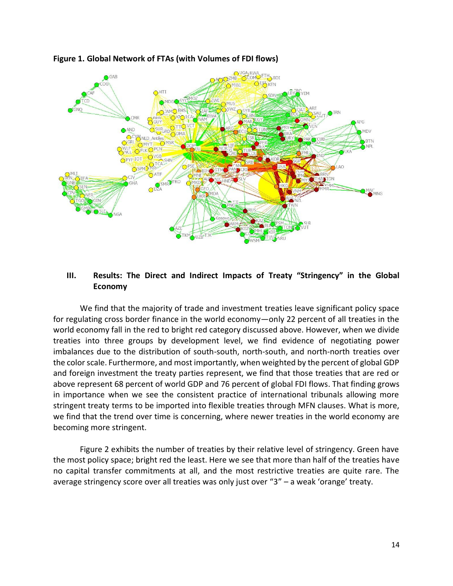

# **Figure 1. Global Network of FTAs (with Volumes of FDI flows)**

# **III. Results: The Direct and Indirect Impacts of Treaty "Stringency" in the Global Economy**

We find that the majority of trade and investment treaties leave significant policy space for regulating cross border finance in the world economy—only 22 percent of all treaties in the world economy fall in the red to bright red category discussed above. However, when we divide treaties into three groups by development level, we find evidence of negotiating power imbalances due to the distribution of south-south, north-south, and north-north treaties over the color scale. Furthermore, and most importantly, when weighted by the percent of global GDP and foreign investment the treaty parties represent, we find that those treaties that are red or above represent 68 percent of world GDP and 76 percent of global FDI flows. That finding grows in importance when we see the consistent practice of international tribunals allowing more stringent treaty terms to be imported into flexible treaties through MFN clauses. What is more, we find that the trend over time is concerning, where newer treaties in the world economy are becoming more stringent.

Figure 2 exhibits the number of treaties by their relative level of stringency. Green have the most policy space; bright red the least. Here we see that more than half of the treaties have no capital transfer commitments at all, and the most restrictive treaties are quite rare. The average stringency score over all treaties was only just over "3" – a weak 'orange' treaty.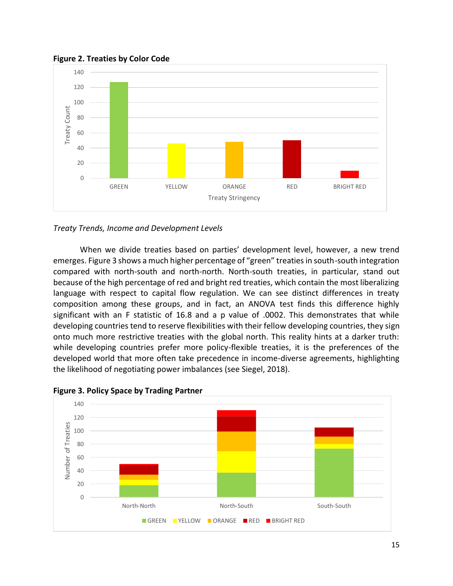

**Figure 2. Treaties by Color Code**



When we divide treaties based on parties' development level, however, a new trend emerges. Figure 3 shows a much higher percentage of "green" treaties in south-south integration compared with north-south and north-north. North-south treaties, in particular, stand out because of the high percentage of red and bright red treaties, which contain the most liberalizing language with respect to capital flow regulation. We can see distinct differences in treaty composition among these groups, and in fact, an ANOVA test finds this difference highly significant with an F statistic of 16.8 and a p value of .0002. This demonstrates that while developing countries tend to reserve flexibilities with their fellow developing countries, they sign onto much more restrictive treaties with the global north. This reality hints at a darker truth: while developing countries prefer more policy-flexible treaties, it is the preferences of the developed world that more often take precedence in income-diverse agreements, highlighting the likelihood of negotiating power imbalances (see Siegel, 2018).



**Figure 3. Policy Space by Trading Partner**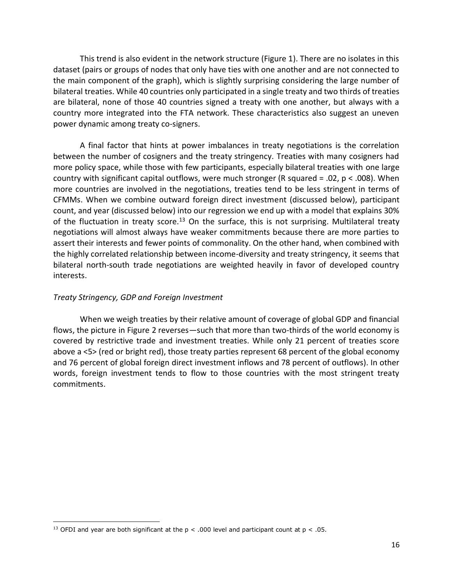This trend is also evident in the network structure (Figure 1). There are no isolates in this dataset (pairs or groups of nodes that only have ties with one another and are not connected to the main component of the graph), which is slightly surprising considering the large number of bilateral treaties. While 40 countries only participated in a single treaty and two thirds of treaties are bilateral, none of those 40 countries signed a treaty with one another, but always with a country more integrated into the FTA network. These characteristics also suggest an uneven power dynamic among treaty co-signers.

A final factor that hints at power imbalances in treaty negotiations is the correlation between the number of cosigners and the treaty stringency. Treaties with many cosigners had more policy space, while those with few participants, especially bilateral treaties with one large country with significant capital outflows, were much stronger (R squared = .02, p < .008). When more countries are involved in the negotiations, treaties tend to be less stringent in terms of CFMMs. When we combine outward foreign direct investment (discussed below), participant count, and year (discussed below) into our regression we end up with a model that explains 30% of the fluctuation in treaty score.<sup>13</sup> On the surface, this is not surprising. Multilateral treaty negotiations will almost always have weaker commitments because there are more parties to assert their interests and fewer points of commonality. On the other hand, when combined with the highly correlated relationship between income-diversity and treaty stringency, it seems that bilateral north-south trade negotiations are weighted heavily in favor of developed country interests.

#### *Treaty Stringency, GDP and Foreign Investment*

 $\overline{a}$ 

When we weigh treaties by their relative amount of coverage of global GDP and financial flows, the picture in Figure 2 reverses—such that more than two-thirds of the world economy is covered by restrictive trade and investment treaties. While only 21 percent of treaties score above a <5> (red or bright red), those treaty parties represent 68 percent of the global economy and 76 percent of global foreign direct investment inflows and 78 percent of outflows). In other words, foreign investment tends to flow to those countries with the most stringent treaty commitments.

<sup>&</sup>lt;sup>13</sup> OFDI and year are both significant at the  $p < .000$  level and participant count at  $p < .05$ .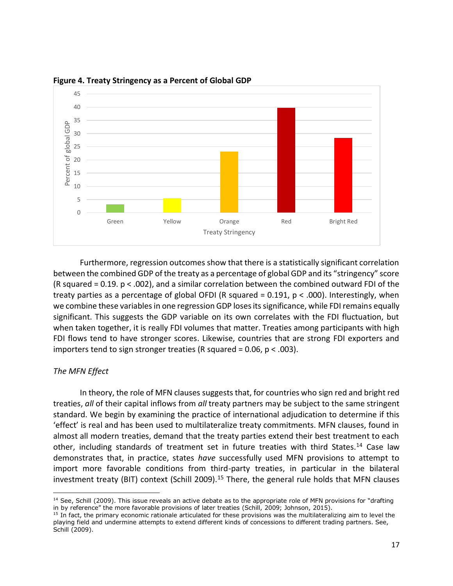

**Figure 4. Treaty Stringency as a Percent of Global GDP**

Furthermore, regression outcomes show that there is a statistically significant correlation between the combined GDP of the treaty as a percentage of global GDP and its "stringency" score (R squared = 0.19. p < .002), and a similar correlation between the combined outward FDI of the treaty parties as a percentage of global OFDI (R squared =  $0.191$ ,  $p < .000$ ). Interestingly, when we combine these variables in one regression GDP loses its significance, while FDI remains equally significant. This suggests the GDP variable on its own correlates with the FDI fluctuation, but when taken together, it is really FDI volumes that matter. Treaties among participants with high FDI flows tend to have stronger scores. Likewise, countries that are strong FDI exporters and importers tend to sign stronger treaties (R squared = 0.06,  $p < .003$ ).

# *The MFN Effect*

In theory, the role of MFN clauses suggests that, for countries who sign red and bright red treaties, *all* of their capital inflows from *all* treaty partners may be subject to the same stringent standard. We begin by examining the practice of international adjudication to determine if this 'effect' is real and has been used to multilateralize treaty commitments. MFN clauses, found in almost all modern treaties, demand that the treaty parties extend their best treatment to each other, including standards of treatment set in future treaties with third States.<sup>14</sup> Case law demonstrates that, in practice, states *have* successfully used MFN provisions to attempt to import more favorable conditions from third-party treaties, in particular in the bilateral investment treaty (BIT) context (Schill 2009).<sup>15</sup> There, the general rule holds that MFN clauses

 $\overline{a}$  $<sup>14</sup>$  See, Schill (2009). This issue reveals an active debate as to the appropriate role of MFN provisions for "drafting</sup> in by reference" the more favorable provisions of later treaties (Schill, 2009; Johnson, 2015).

 $15$  In fact, the primary economic rationale articulated for these provisions was the multilateralizing aim to level the playing field and undermine attempts to extend different kinds of concessions to different trading partners. See, Schill (2009).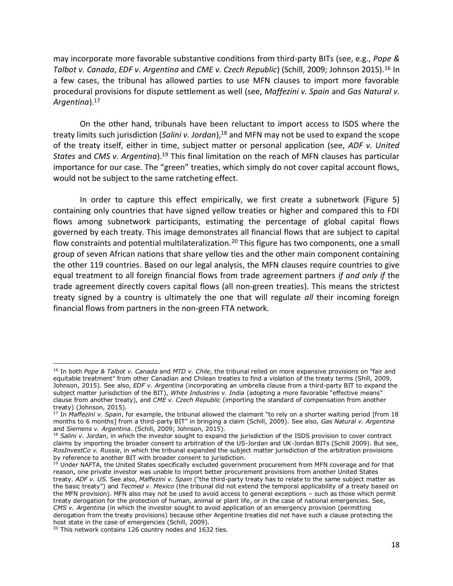may incorporate more favorable substantive conditions from third-party BITs (see, e.g., *Pope & Talbot v. Canada*, *EDF v. Argentina* and *CME v. Czech Republic*) (Schill, 2009; Johnson 2015).<sup>16</sup> In a few cases, the tribunal has allowed parties to use MFN clauses to import more favorable procedural provisions for dispute settlement as well (see, *Maffezini v. Spain* and *Gas Natural v. Argentina*).<sup>17</sup>

On the other hand, tribunals have been reluctant to import access to ISDS where the treaty limits such jurisdiction (*Salini v. Jordan*),<sup>18</sup> and MFN may not be used to expand the scope of the treaty itself, either in time, subject matter or personal application (see, *ADF v. United States* and *CMS v. Argentina*).<sup>19</sup> This final limitation on the reach of MFN clauses has particular importance for our case. The "green" treaties, which simply do not cover capital account flows, would not be subject to the same ratcheting effect.

In order to capture this effect empirically, we first create a subnetwork (Figure 5) containing only countries that have signed yellow treaties or higher and compared this to FDI flows among subnetwork participants, estimating the percentage of global capital flows governed by each treaty. This image demonstrates all financial flows that are subject to capital flow constraints and potential multilateralization.<sup>20</sup> This figure has two components, one a small group of seven African nations that share yellow ties and the other main component containing the other 119 countries. Based on our legal analysis, the MFN clauses require countries to give equal treatment to all foreign financial flows from trade agreement partners *if and only if* the trade agreement directly covers capital flows (all non-green treaties). This means the strictest treaty signed by a country is ultimately the one that will regulate *all* their incoming foreign financial flows from partners in the non-green FTA network.

<sup>16</sup> In both *Pope & Talbot v. Canada* and *MTD v. Chile*, the tribunal relied on more expansive provisions on "fair and equitable treatment" from other Canadian and Chilean treaties to find a violation of the treaty terms (Shill, 2009, Johnson, 2015). See also, *EDF v. Argentina* (incorporating an umbrella clause from a third-party BIT to expand the subject matter jurisdiction of the BIT), *White Industries v. India* (adopting a more favorable "effective means" clause from another treaty), and *CME v. Czech Republic* (importing the standard of compensation from another treaty) (Johnson, 2015).

<sup>17</sup> In *Maffezini v. Spain*, for example, the tribunal allowed the claimant "to rely on a shorter waiting period [from 18 months to 6 months] from a third-party BIT" in bringing a claim (Schill, 2009). See also, *Gas Natural v. Argentina* and *Siemens v. Argentina*. (Schill, 2009; Johnson, 2015).

<sup>18</sup> *Salini v. Jordan*, in which the investor sought to expand the jurisdiction of the ISDS provision to cover contract claims by importing the broader consent to arbitration of the US-Jordan and UK-Jordan BITs (Schill 2009). But see, *RosInvestCo v. Russia*, in which the tribunal expanded the subject matter jurisdiction of the arbitration provisions by reference to another BIT with broader consent to jurisdiction.

<sup>&</sup>lt;sup>19</sup> Under NAFTA, the United States specifically excluded government procurement from MFN coverage and for that reason, one private investor was unable to import better procurement provisions from another United States treaty. *ADF v. US*. See also, *Maffezini v. Spain* ("the third-party treaty has to relate to the same subject matter as the basic treaty") and *Tecmed v. Mexico* (the tribunal did not extend the temporal applicability of a treaty based on the MFN provision). MFN also may not be used to avoid access to general exceptions – such as those which permit treaty derogation for the protection of human, animal or plant life, or in the case of national emergencies. See, *CMS v. Argentina* (in which the investor sought to avoid application of an emergency provision (permitting derogation from the treaty provisions) because other Argentine treaties did not have such a clause protecting the host state in the case of emergencies (Schill, 2009).

<sup>&</sup>lt;sup>20</sup> This network contains 126 country nodes and 1632 ties.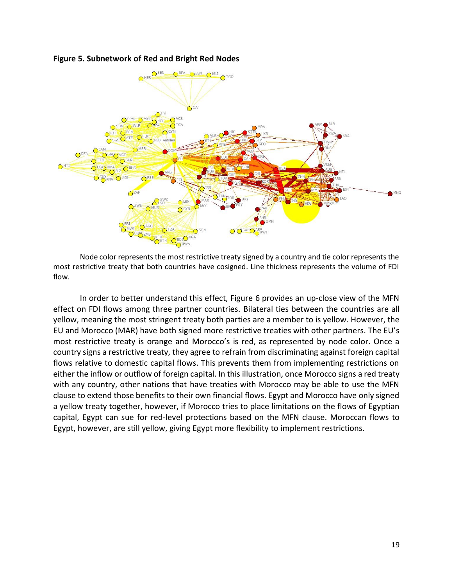

### **Figure 5. Subnetwork of Red and Bright Red Nodes**

Node color represents the most restrictive treaty signed by a country and tie color represents the most restrictive treaty that both countries have cosigned. Line thickness represents the volume of FDI flow.

In order to better understand this effect, Figure 6 provides an up-close view of the MFN effect on FDI flows among three partner countries. Bilateral ties between the countries are all yellow, meaning the most stringent treaty both parties are a member to is yellow. However, the EU and Morocco (MAR) have both signed more restrictive treaties with other partners. The EU's most restrictive treaty is orange and Morocco's is red, as represented by node color. Once a country signs a restrictive treaty, they agree to refrain from discriminating against foreign capital flows relative to domestic capital flows. This prevents them from implementing restrictions on either the inflow or outflow of foreign capital. In this illustration, once Morocco signs a red treaty with any country, other nations that have treaties with Morocco may be able to use the MFN clause to extend those benefits to their own financial flows. Egypt and Morocco have only signed a yellow treaty together, however, if Morocco tries to place limitations on the flows of Egyptian capital, Egypt can sue for red-level protections based on the MFN clause. Moroccan flows to Egypt, however, are still yellow, giving Egypt more flexibility to implement restrictions.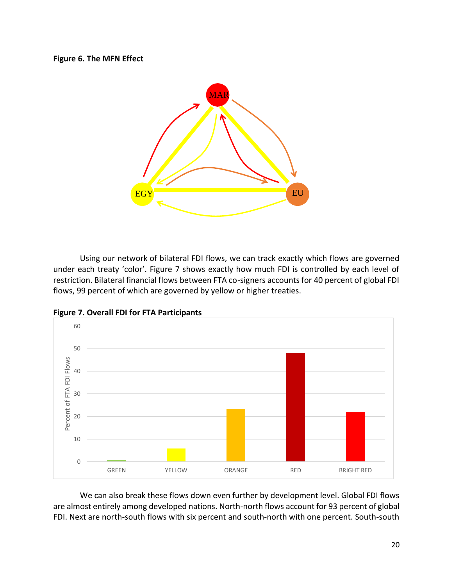# **Figure 6. The MFN Effect**



Using our network of bilateral FDI flows, we can track exactly which flows are governed under each treaty 'color'. Figure 7 shows exactly how much FDI is controlled by each level of restriction. Bilateral financial flows between FTA co-signers accounts for 40 percent of global FDI flows, 99 percent of which are governed by yellow or higher treaties.



**Figure 7. Overall FDI for FTA Participants**

We can also break these flows down even further by development level. Global FDI flows are almost entirely among developed nations. North-north flows account for 93 percent of global FDI. Next are north-south flows with six percent and south-north with one percent. South-south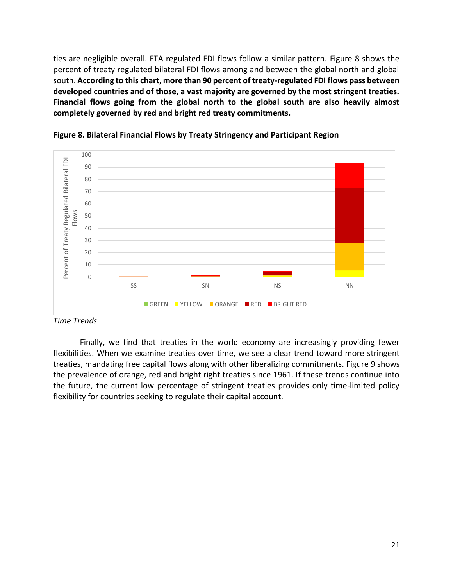ties are negligible overall. FTA regulated FDI flows follow a similar pattern. Figure 8 shows the percent of treaty regulated bilateral FDI flows among and between the global north and global south. **According to this chart, more than 90 percent of treaty-regulated FDI flows pass between developed countries and of those, a vast majority are governed by the most stringent treaties. Financial flows going from the global north to the global south are also heavily almost completely governed by red and bright red treaty commitments.**





*Time Trends*

Finally, we find that treaties in the world economy are increasingly providing fewer flexibilities. When we examine treaties over time, we see a clear trend toward more stringent treaties, mandating free capital flows along with other liberalizing commitments. Figure 9 shows the prevalence of orange, red and bright right treaties since 1961. If these trends continue into the future, the current low percentage of stringent treaties provides only time-limited policy flexibility for countries seeking to regulate their capital account.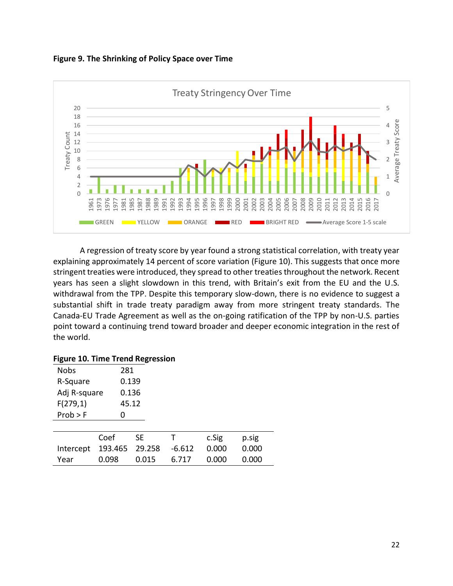**Figure 9. The Shrinking of Policy Space over Time**



A regression of treaty score by year found a strong statistical correlation, with treaty year explaining approximately 14 percent of score variation (Figure 10). This suggests that once more stringent treaties were introduced, they spread to other treaties throughout the network. Recent years has seen a slight slowdown in this trend, with Britain's exit from the EU and the U.S. withdrawal from the TPP. Despite this temporary slow-down, there is no evidence to suggest a substantial shift in trade treaty paradigm away from more stringent treaty standards. The Canada-EU Trade Agreement as well as the on-going ratification of the TPP by non-U.S. parties point toward a continuing trend toward broader and deeper economic integration in the rest of the world.

#### **Figure 10. Time Trend Regression**

| <b>Nobs</b>   | 281     |        |          |       |       |
|---------------|---------|--------|----------|-------|-------|
| R-Square      | 0.139   |        |          |       |       |
| Adj R-square  | 0.136   |        |          |       |       |
| F(279,1)      | 45.12   |        |          |       |       |
| Prob > F      | ი       |        |          |       |       |
|               |         |        |          |       |       |
|               | Coef    | SE.    |          | c.Sig | p.sig |
| Intercept     | 193.465 | 29.258 | $-6.612$ | 0.000 | 0.000 |
| 0.098<br>Year |         | 0.015  | 6.717    | 0.000 | 0.000 |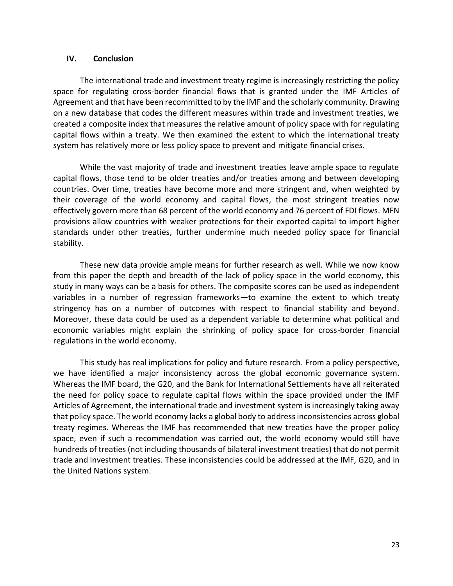#### **IV. Conclusion**

The international trade and investment treaty regime is increasingly restricting the policy space for regulating cross-border financial flows that is granted under the IMF Articles of Agreement and that have been recommitted to by the IMF and the scholarly community. Drawing on a new database that codes the different measures within trade and investment treaties, we created a composite index that measures the relative amount of policy space with for regulating capital flows within a treaty. We then examined the extent to which the international treaty system has relatively more or less policy space to prevent and mitigate financial crises.

While the vast majority of trade and investment treaties leave ample space to regulate capital flows, those tend to be older treaties and/or treaties among and between developing countries. Over time, treaties have become more and more stringent and, when weighted by their coverage of the world economy and capital flows, the most stringent treaties now effectively govern more than 68 percent of the world economy and 76 percent of FDI flows. MFN provisions allow countries with weaker protections for their exported capital to import higher standards under other treaties, further undermine much needed policy space for financial stability.

These new data provide ample means for further research as well. While we now know from this paper the depth and breadth of the lack of policy space in the world economy, this study in many ways can be a basis for others. The composite scores can be used as independent variables in a number of regression frameworks—to examine the extent to which treaty stringency has on a number of outcomes with respect to financial stability and beyond. Moreover, these data could be used as a dependent variable to determine what political and economic variables might explain the shrinking of policy space for cross-border financial regulations in the world economy.

This study has real implications for policy and future research. From a policy perspective, we have identified a major inconsistency across the global economic governance system. Whereas the IMF board, the G20, and the Bank for International Settlements have all reiterated the need for policy space to regulate capital flows within the space provided under the IMF Articles of Agreement, the international trade and investment system is increasingly taking away that policy space. The world economy lacks a global body to address inconsistencies across global treaty regimes. Whereas the IMF has recommended that new treaties have the proper policy space, even if such a recommendation was carried out, the world economy would still have hundreds of treaties (not including thousands of bilateral investment treaties) that do not permit trade and investment treaties. These inconsistencies could be addressed at the IMF, G20, and in the United Nations system.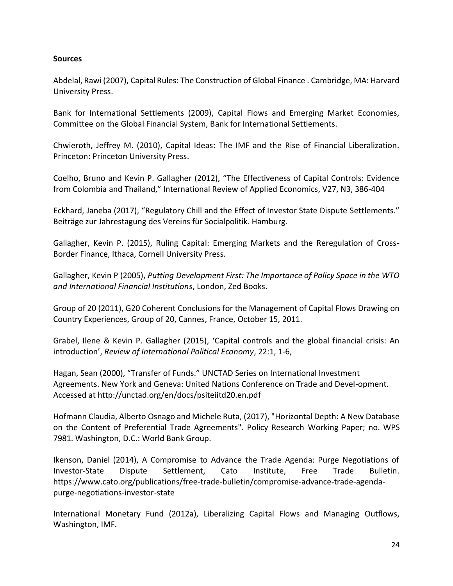# **Sources**

Abdelal, Rawi (2007), Capital Rules: The Construction of Global Finance . Cambridge, MA: Harvard University Press.

Bank for International Settlements (2009), Capital Flows and Emerging Market Economies, Committee on the Global Financial System, Bank for International Settlements.

Chwieroth, Jeffrey M. (2010), Capital Ideas: The IMF and the Rise of Financial Liberalization. Princeton: Princeton University Press.

Coelho, Bruno and Kevin P. Gallagher (2012), "The Effectiveness of Capital Controls: Evidence from Colombia and Thailand," International Review of Applied Economics, V27, N3, 386-404

Eckhard, Janeba (2017), "Regulatory Chill and the Effect of Investor State Dispute Settlements." Beiträge zur Jahrestagung des Vereins für Socialpolitik. Hamburg.

Gallagher, Kevin P. (2015), Ruling Capital: Emerging Markets and the Reregulation of Cross-Border Finance, Ithaca, Cornell University Press.

Gallagher, Kevin P (2005), *Putting Development First: The Importance of Policy Space in the WTO and International Financial Institutions*, London, Zed Books.

Group of 20 (2011), G20 Coherent Conclusions for the Management of Capital Flows Drawing on Country Experiences, Group of 20, Cannes, France, October 15, 2011.

Grabel, Ilene & Kevin P. Gallagher (2015), 'Capital controls and the global financial crisis: An introduction', *Review of International Political Economy*, 22:1, 1-6,

Hagan, Sean (2000), "Transfer of Funds." UNCTAD Series on International Investment Agreements. New York and Geneva: United Nations Conference on Trade and Devel-opment. Accessed at http://unctad.org/en/docs/psiteiitd20.en.pdf

Hofmann Claudia, Alberto Osnago and Michele Ruta, (2017), "Horizontal Depth: A New Database on the Content of Preferential Trade Agreements". Policy Research Working Paper; no. WPS 7981. Washington, D.C.: World Bank Group.

Ikenson, Daniel (2014), A Compromise to Advance the Trade Agenda: Purge Negotiations of Investor-State Dispute Settlement, Cato Institute, Free Trade Bulletin. https://www.cato.org/publications/free-trade-bulletin/compromise-advance-trade-agendapurge-negotiations-investor-state

International Monetary Fund (2012a), Liberalizing Capital Flows and Managing Outflows, Washington, IMF.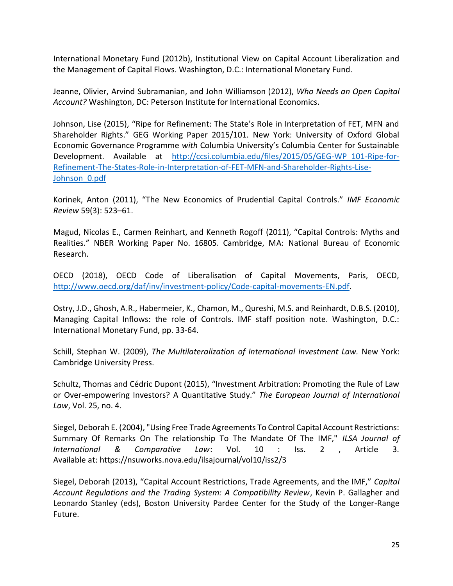International Monetary Fund (2012b), Institutional View on Capital Account Liberalization and the Management of Capital Flows. Washington, D.C.: International Monetary Fund.

Jeanne, Olivier, Arvind Subramanian, and John Williamson (2012), *Who Needs an Open Capital Account?* Washington, DC: Peterson Institute for International Economics.

Johnson, Lise (2015), "Ripe for Refinement: The State's Role in Interpretation of FET, MFN and Shareholder Rights." GEG Working Paper 2015/101. New York: University of Oxford Global Economic Governance Programme *with* Columbia University's Columbia Center for Sustainable Development. Available at [http://ccsi.columbia.edu/files/2015/05/GEG-WP\\_101-Ripe-for-](http://ccsi.columbia.edu/files/2015/05/GEG-WP_101-Ripe-for-Refinement-The-States-Role-in-Interpretation-of-FET-MFN-and-Shareholder-Rights-Lise-Johnson_0.pdf)[Refinement-The-States-Role-in-Interpretation-of-FET-MFN-and-Shareholder-Rights-Lise-](http://ccsi.columbia.edu/files/2015/05/GEG-WP_101-Ripe-for-Refinement-The-States-Role-in-Interpretation-of-FET-MFN-and-Shareholder-Rights-Lise-Johnson_0.pdf)[Johnson\\_0.pdf](http://ccsi.columbia.edu/files/2015/05/GEG-WP_101-Ripe-for-Refinement-The-States-Role-in-Interpretation-of-FET-MFN-and-Shareholder-Rights-Lise-Johnson_0.pdf)

Korinek, Anton (2011), "The New Economics of Prudential Capital Controls." *IMF Economic Review* 59(3): 523–61.

Magud, Nicolas E., Carmen Reinhart, and Kenneth Rogoff (2011), "Capital Controls: Myths and Realities." NBER Working Paper No. 16805. Cambridge, MA: National Bureau of Economic Research.

OECD (2018), OECD Code of Liberalisation of Capital Movements, Paris, OECD, [http://www.oecd.org/daf/inv/investment-policy/Code-capital-movements-EN.pdf.](http://www.oecd.org/daf/inv/investment-policy/Code-capital-movements-EN.pdf)

Ostry, J.D., Ghosh, A.R., Habermeier, K., Chamon, M., Qureshi, M.S. and Reinhardt, D.B.S. (2010), Managing Capital Inflows: the role of Controls. IMF staff position note. Washington, D.C.: International Monetary Fund, pp. 33-64.

Schill, Stephan W. (2009), *The Multilateralization of International Investment Law.* New York: Cambridge University Press.

Schultz, Thomas and Cédric Dupont (2015), "Investment Arbitration: Promoting the Rule of Law or Over-empowering Investors? A Quantitative Study." *The European Journal of International Law*, Vol. 25, no. 4.

Siegel, Deborah E. (2004), "Using Free Trade Agreements To Control Capital Account Restrictions: Summary Of Remarks On The relationship To The Mandate Of The IMF," *ILSA Journal of International & Comparative Law*: Vol. 10 : Iss. 2 , Article 3. Available at: https://nsuworks.nova.edu/ilsajournal/vol10/iss2/3

Siegel, Deborah (2013), "Capital Account Restrictions, Trade Agreements, and the IMF," *Capital Account Regulations and the Trading System: A Compatibility Review*, Kevin P. Gallagher and Leonardo Stanley (eds), Boston University Pardee Center for the Study of the Longer-Range Future.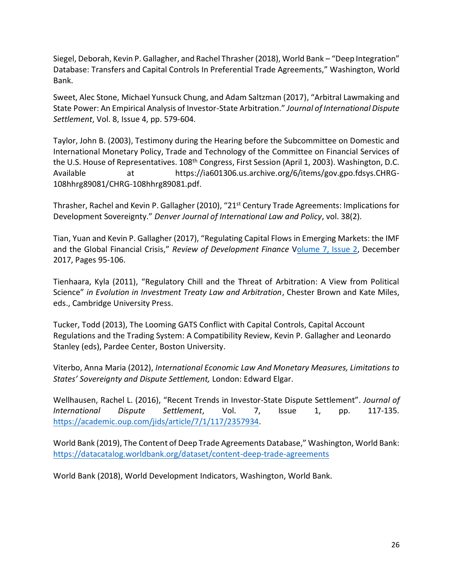Siegel, Deborah, Kevin P. Gallagher, and Rachel Thrasher (2018), World Bank – "Deep Integration" Database: Transfers and Capital Controls In Preferential Trade Agreements," Washington, World Bank.

Sweet, Alec Stone, Michael Yunsuck Chung, and Adam Saltzman (2017), "Arbitral Lawmaking and State Power: An Empirical Analysis of Investor-State Arbitration." *Journal of International Dispute Settlement*, Vol. 8, Issue 4, pp. 579-604.

Taylor, John B. (2003), Testimony during the Hearing before the Subcommittee on Domestic and International Monetary Policy, Trade and Technology of the Committee on Financial Services of the U.S. House of Representatives. 108<sup>th</sup> Congress, First Session (April 1, 2003). Washington, D.C. Available at https://ia601306.us.archive.org/6/items/gov.gpo.fdsys.CHRG-108hhrg89081/CHRG-108hhrg89081.pdf.

Thrasher, Rachel and Kevin P. Gallagher (2010), "21st Century Trade Agreements: Implications for Development Sovereignty." *Denver Journal of International Law and Policy*, vol. 38(2).

Tian, Yuan and Kevin P. Gallagher (2017), "Regulating Capital Flows in Emerging Markets: the IMF and the Global Financial Crisis," *Review of Development Finance* [Volume 7, Issue 2,](https://www.sciencedirect.com/science/journal/18799337/7/2) December 2017, Pages 95-106.

Tienhaara, Kyla (2011), "Regulatory Chill and the Threat of Arbitration: A View from Political Science" *in Evolution in Investment Treaty Law and Arbitration*, Chester Brown and Kate Miles, eds., Cambridge University Press.

Tucker, Todd (2013), The Looming GATS Conflict with Capital Controls, Capital Account Regulations and the Trading System: A Compatibility Review, Kevin P. Gallagher and Leonardo Stanley (eds), Pardee Center, Boston University.

Viterbo, Anna Maria (2012), *International Economic Law And Monetary Measures, Limitations to States' Sovereignty and Dispute Settlement,* London: Edward Elgar.

Wellhausen, Rachel L. (2016), "Recent Trends in Investor-State Dispute Settlement". *Journal of International Dispute Settlement*, Vol. 7, Issue 1, pp. 117-135. [https://academic.oup.com/jids/article/7/1/117/2357934.](https://academic.oup.com/jids/article/7/1/117/2357934)

World Bank (2019), The Content of Deep Trade Agreements Database," Washington, World Bank: <https://datacatalog.worldbank.org/dataset/content-deep-trade-agreements>

World Bank (2018), World Development Indicators, Washington, World Bank.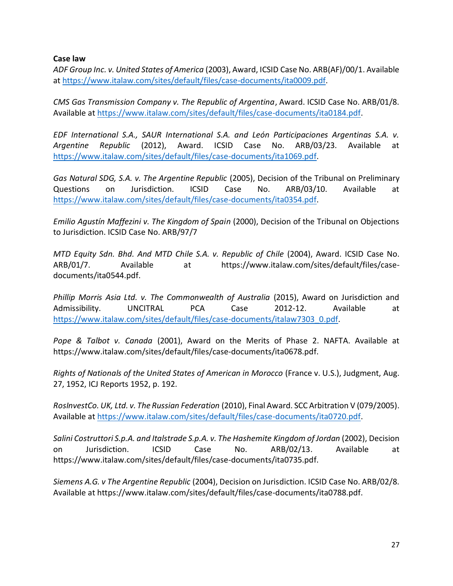**Case law**

*ADF Group Inc. v. United States of America* (2003), Award, ICSID Case No. ARB(AF)/00/1. Available at [https://www.italaw.com/sites/default/files/case-documents/ita0009.pdf.](https://www.italaw.com/sites/default/files/case-documents/ita0009.pdf)

*CMS Gas Transmission Company v. The Republic of Argentina*, Award. ICSID Case No. ARB/01/8. Available at [https://www.italaw.com/sites/default/files/case-documents/ita0184.pdf.](https://www.italaw.com/sites/default/files/case-documents/ita0184.pdf)

*EDF International S.A., SAUR International S.A. and León Participaciones Argentinas S.A. v. Argentine Republic* (2012), Award. ICSID Case No. ARB/03/23. Available at [https://www.italaw.com/sites/default/files/case-documents/ita1069.pdf.](https://www.italaw.com/sites/default/files/case-documents/ita1069.pdf)

*Gas Natural SDG, S.A. v. The Argentine Republic* (2005), Decision of the Tribunal on Preliminary Questions on Jurisdiction. ICSID Case No. ARB/03/10. Available at [https://www.italaw.com/sites/default/files/case-documents/ita0354.pdf.](https://www.italaw.com/sites/default/files/case-documents/ita0354.pdf)

*Emilio Agustín Maffezini v. The Kingdom of Spain* (2000), Decision of the Tribunal on Objections to Jurisdiction. ICSID Case No. ARB/97/7

*MTD Equity Sdn. Bhd. And MTD Chile S.A. v. Republic of Chile* (2004), Award. ICSID Case No. ARB/01/7. Available at https://www.italaw.com/sites/default/files/casedocuments/ita0544.pdf.

*Phillip Morris Asia Ltd. v. The Commonwealth of Australia* (2015), Award on Jurisdiction and Admissibility. UNCITRAL PCA Case 2012-12. Available at [https://www.italaw.com/sites/default/files/case-documents/italaw7303\\_0.pdf.](https://www.italaw.com/sites/default/files/case-documents/italaw7303_0.pdf)

*Pope & Talbot v. Canada* (2001), Award on the Merits of Phase 2. NAFTA. Available at https://www.italaw.com/sites/default/files/case-documents/ita0678.pdf.

*Rights of Nationals of the United States of American in Morocco* (France v. U.S.), Judgment, Aug. 27, 1952, ICJ Reports 1952, p. 192.

*RosInvestCo. UK, Ltd. v. The Russian Federation* (2010), Final Award. SCC Arbitration V (079/2005). Available at [https://www.italaw.com/sites/default/files/case-documents/ita0720.pdf.](https://www.italaw.com/sites/default/files/case-documents/ita0720.pdf)

*Salini Costruttori S.p.A. and Italstrade S.p.A. v. The Hashemite Kingdom of Jordan* (2002), Decision on Jurisdiction. ICSID Case No. ARB/02/13. Available at https://www.italaw.com/sites/default/files/case-documents/ita0735.pdf.

*Siemens A.G. v The Argentine Republic* (2004), Decision on Jurisdiction. ICSID Case No. ARB/02/8. Available at https://www.italaw.com/sites/default/files/case-documents/ita0788.pdf.